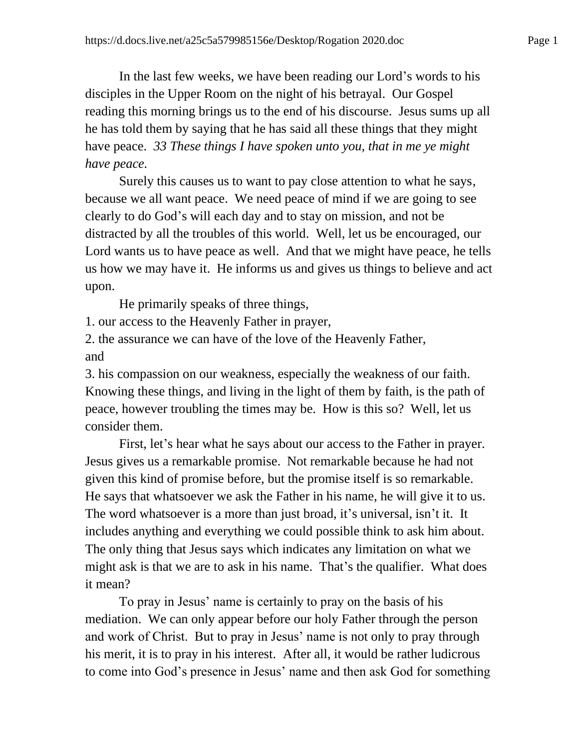In the last few weeks, we have been reading our Lord's words to his disciples in the Upper Room on the night of his betrayal. Our Gospel reading this morning brings us to the end of his discourse. Jesus sums up all he has told them by saying that he has said all these things that they might have peace. *33 These things I have spoken unto you, that in me ye might have peace.*

Surely this causes us to want to pay close attention to what he says, because we all want peace. We need peace of mind if we are going to see clearly to do God's will each day and to stay on mission, and not be distracted by all the troubles of this world. Well, let us be encouraged, our Lord wants us to have peace as well. And that we might have peace, he tells us how we may have it. He informs us and gives us things to believe and act upon.

He primarily speaks of three things,

1. our access to the Heavenly Father in prayer,

2. the assurance we can have of the love of the Heavenly Father, and

3. his compassion on our weakness, especially the weakness of our faith. Knowing these things, and living in the light of them by faith, is the path of peace, however troubling the times may be. How is this so? Well, let us consider them.

First, let's hear what he says about our access to the Father in prayer. Jesus gives us a remarkable promise. Not remarkable because he had not given this kind of promise before, but the promise itself is so remarkable. He says that whatsoever we ask the Father in his name, he will give it to us. The word whatsoever is a more than just broad, it's universal, isn't it. It includes anything and everything we could possible think to ask him about. The only thing that Jesus says which indicates any limitation on what we might ask is that we are to ask in his name. That's the qualifier. What does it mean?

To pray in Jesus' name is certainly to pray on the basis of his mediation. We can only appear before our holy Father through the person and work of Christ. But to pray in Jesus' name is not only to pray through his merit, it is to pray in his interest. After all, it would be rather ludicrous to come into God's presence in Jesus' name and then ask God for something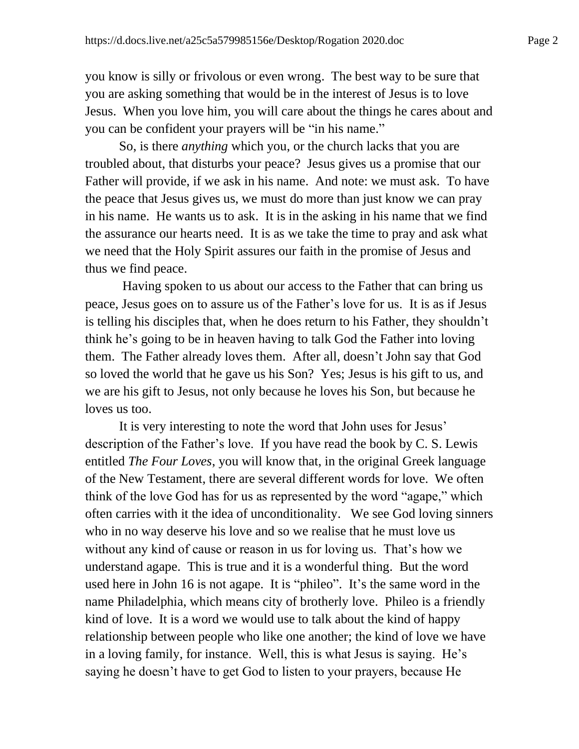you know is silly or frivolous or even wrong. The best way to be sure that you are asking something that would be in the interest of Jesus is to love Jesus. When you love him, you will care about the things he cares about and you can be confident your prayers will be "in his name."

So, is there *anything* which you, or the church lacks that you are troubled about, that disturbs your peace? Jesus gives us a promise that our Father will provide, if we ask in his name. And note: we must ask. To have the peace that Jesus gives us, we must do more than just know we can pray in his name. He wants us to ask. It is in the asking in his name that we find the assurance our hearts need. It is as we take the time to pray and ask what we need that the Holy Spirit assures our faith in the promise of Jesus and thus we find peace.

Having spoken to us about our access to the Father that can bring us peace, Jesus goes on to assure us of the Father's love for us. It is as if Jesus is telling his disciples that, when he does return to his Father, they shouldn't think he's going to be in heaven having to talk God the Father into loving them. The Father already loves them. After all, doesn't John say that God so loved the world that he gave us his Son? Yes; Jesus is his gift to us, and we are his gift to Jesus, not only because he loves his Son, but because he loves us too.

It is very interesting to note the word that John uses for Jesus' description of the Father's love. If you have read the book by C. S. Lewis entitled *The Four Loves*, you will know that, in the original Greek language of the New Testament, there are several different words for love. We often think of the love God has for us as represented by the word "agape," which often carries with it the idea of unconditionality. We see God loving sinners who in no way deserve his love and so we realise that he must love us without any kind of cause or reason in us for loving us. That's how we understand agape. This is true and it is a wonderful thing. But the word used here in John 16 is not agape. It is "phileo". It's the same word in the name Philadelphia, which means city of brotherly love. Phileo is a friendly kind of love. It is a word we would use to talk about the kind of happy relationship between people who like one another; the kind of love we have in a loving family, for instance. Well, this is what Jesus is saying. He's saying he doesn't have to get God to listen to your prayers, because He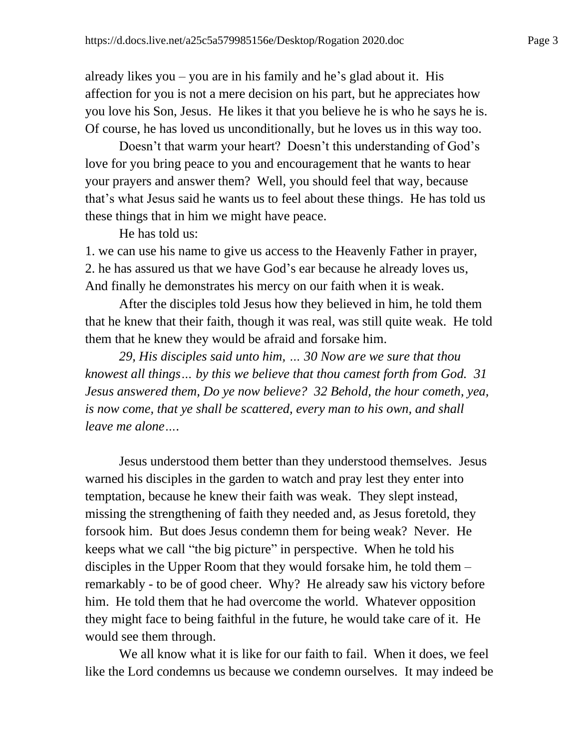already likes you – you are in his family and he's glad about it. His affection for you is not a mere decision on his part, but he appreciates how you love his Son, Jesus. He likes it that you believe he is who he says he is. Of course, he has loved us unconditionally, but he loves us in this way too.

Doesn't that warm your heart? Doesn't this understanding of God's love for you bring peace to you and encouragement that he wants to hear your prayers and answer them? Well, you should feel that way, because that's what Jesus said he wants us to feel about these things. He has told us these things that in him we might have peace.

He has told us:

1. we can use his name to give us access to the Heavenly Father in prayer, 2. he has assured us that we have God's ear because he already loves us, And finally he demonstrates his mercy on our faith when it is weak.

After the disciples told Jesus how they believed in him, he told them that he knew that their faith, though it was real, was still quite weak. He told them that he knew they would be afraid and forsake him.

*29, His disciples said unto him, … 30 Now are we sure that thou knowest all things… by this we believe that thou camest forth from God. 31 Jesus answered them, Do ye now believe? 32 Behold, the hour cometh, yea, is now come, that ye shall be scattered, every man to his own, and shall leave me alone….*

Jesus understood them better than they understood themselves. Jesus warned his disciples in the garden to watch and pray lest they enter into temptation, because he knew their faith was weak. They slept instead, missing the strengthening of faith they needed and, as Jesus foretold, they forsook him. But does Jesus condemn them for being weak? Never. He keeps what we call "the big picture" in perspective. When he told his disciples in the Upper Room that they would forsake him, he told them – remarkably - to be of good cheer. Why? He already saw his victory before him. He told them that he had overcome the world. Whatever opposition they might face to being faithful in the future, he would take care of it. He would see them through.

We all know what it is like for our faith to fail. When it does, we feel like the Lord condemns us because we condemn ourselves. It may indeed be